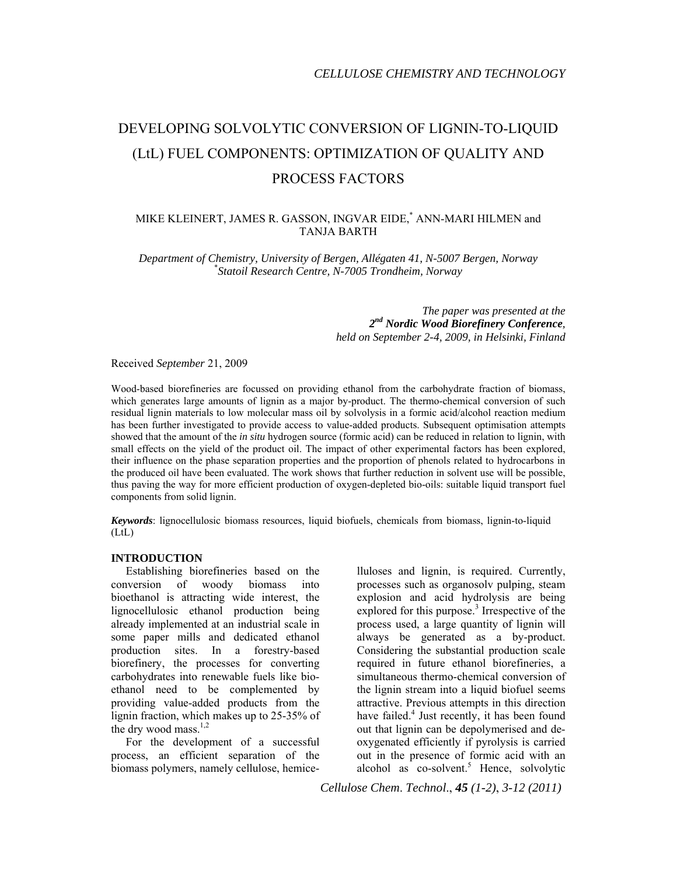# DEVELOPING SOLVOLYTIC CONVERSION OF LIGNIN-TO-LIQUID (LtL) FUEL COMPONENTS: OPTIMIZATION OF QUALITY AND PROCESS FACTORS

# MIKE KLEINERT, JAMES R. GASSON, INGVAR EIDE,\* ANN-MARI HILMEN and TANJA BARTH

*Department of Chemistry, University of Bergen, Allégaten 41, N-5007 Bergen, Norway* \* *Statoil Research Centre, N-7005 Trondheim, Norway*

> *The paper was presented at the 2nd Nordic Wood Biorefinery Conference, held on September 2-4, 2009, in Helsinki, Finland*

Received *September* 21, 2009

Wood-based biorefineries are focussed on providing ethanol from the carbohydrate fraction of biomass, which generates large amounts of lignin as a major by-product. The thermo-chemical conversion of such residual lignin materials to low molecular mass oil by solvolysis in a formic acid/alcohol reaction medium has been further investigated to provide access to value-added products. Subsequent optimisation attempts showed that the amount of the *in situ* hydrogen source (formic acid) can be reduced in relation to lignin, with small effects on the yield of the product oil. The impact of other experimental factors has been explored, their influence on the phase separation properties and the proportion of phenols related to hydrocarbons in the produced oil have been evaluated. The work shows that further reduction in solvent use will be possible, thus paving the way for more efficient production of oxygen-depleted bio-oils: suitable liquid transport fuel components from solid lignin.

*Keywords*: lignocellulosic biomass resources, liquid biofuels, chemicals from biomass, lignin-to-liquid (LtL)

## **INTRODUCTION**

Establishing biorefineries based on the conversion of woody biomass into bioethanol is attracting wide interest, the lignocellulosic ethanol production being already implemented at an industrial scale in some paper mills and dedicated ethanol production sites. In a forestry-based biorefinery, the processes for converting carbohydrates into renewable fuels like bioethanol need to be complemented by providing value-added products from the lignin fraction, which makes up to 25-35% of the dry wood mass. $1,2$ 

For the development of a successful process, an efficient separation of the biomass polymers, namely cellulose, hemicelluloses and lignin, is required. Currently, processes such as organosolv pulping, steam explosion and acid hydrolysis are being explored for this purpose.<sup>3</sup> Irrespective of the process used, a large quantity of lignin will always be generated as a by-product. Considering the substantial production scale required in future ethanol biorefineries, a simultaneous thermo-chemical conversion of the lignin stream into a liquid biofuel seems attractive. Previous attempts in this direction have failed.<sup>4</sup> Just recently, it has been found out that lignin can be depolymerised and deoxygenated efficiently if pyrolysis is carried out in the presence of formic acid with an alcohol as co-solvent.<sup>5</sup> Hence, solvolytic

*Cellulose Chem*. *Technol*., *45 (1-2)*, *3-12 (2011)*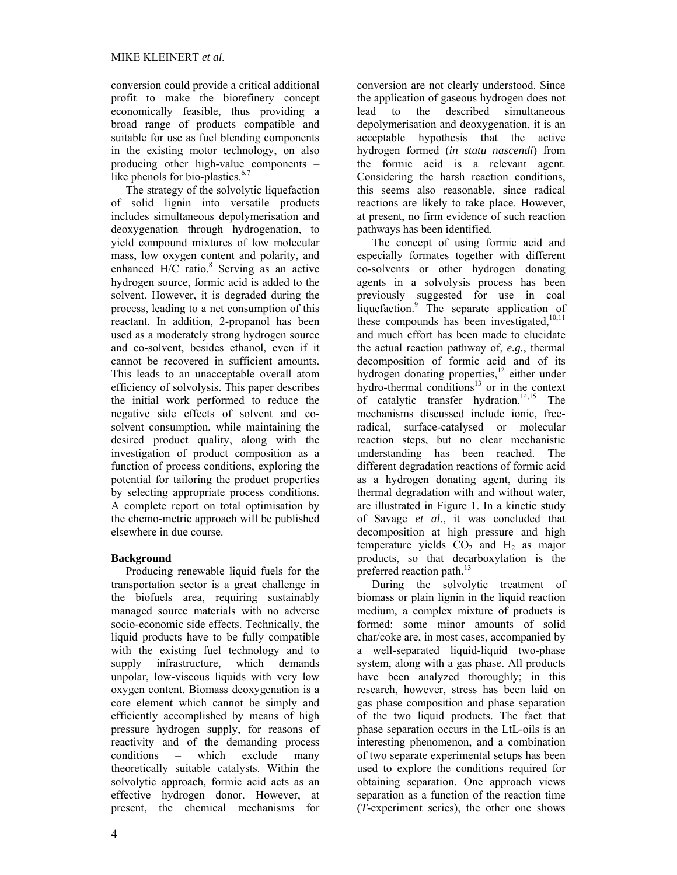conversion could provide a critical additional profit to make the biorefinery concept economically feasible, thus providing a broad range of products compatible and suitable for use as fuel blending components in the existing motor technology, on also producing other high-value components – like phenols for bio-plastics.<sup>6,7</sup>

The strategy of the solvolytic liquefaction of solid lignin into versatile products includes simultaneous depolymerisation and deoxygenation through hydrogenation, to yield compound mixtures of low molecular mass, low oxygen content and polarity, and enhanced H/C ratio.<sup>8</sup> Serving as an active hydrogen source, formic acid is added to the solvent. However, it is degraded during the process, leading to a net consumption of this reactant. In addition, 2-propanol has been used as a moderately strong hydrogen source and co-solvent, besides ethanol, even if it cannot be recovered in sufficient amounts. This leads to an unacceptable overall atom efficiency of solvolysis. This paper describes the initial work performed to reduce the negative side effects of solvent and cosolvent consumption, while maintaining the desired product quality, along with the investigation of product composition as a function of process conditions, exploring the potential for tailoring the product properties by selecting appropriate process conditions. A complete report on total optimisation by the chemo-metric approach will be published elsewhere in due course.

# **Background**

Producing renewable liquid fuels for the transportation sector is a great challenge in the biofuels area, requiring sustainably managed source materials with no adverse socio-economic side effects. Technically, the liquid products have to be fully compatible with the existing fuel technology and to supply infrastructure, which demands unpolar, low-viscous liquids with very low oxygen content. Biomass deoxygenation is a core element which cannot be simply and efficiently accomplished by means of high pressure hydrogen supply, for reasons of reactivity and of the demanding process conditions – which exclude many theoretically suitable catalysts. Within the solvolytic approach, formic acid acts as an effective hydrogen donor. However, at present, the chemical mechanisms for

conversion are not clearly understood. Since the application of gaseous hydrogen does not lead to the described simultaneous depolymerisation and deoxygenation, it is an acceptable hypothesis that the active hydrogen formed (*in statu nascendi*) from the formic acid is a relevant agent. Considering the harsh reaction conditions, this seems also reasonable, since radical reactions are likely to take place. However, at present, no firm evidence of such reaction pathways has been identified.

The concept of using formic acid and especially formates together with different co-solvents or other hydrogen donating agents in a solvolysis process has been previously suggested for use in coal liquefaction.<sup>9</sup> The separate application of these compounds has been investigated, $10,11$ and much effort has been made to elucidate the actual reaction pathway of, *e.g.*, thermal decomposition of formic acid and of its hydrogen donating properties,<sup>12</sup> either under hydro-thermal conditions $13$  or in the context of catalytic transfer hydration.<sup>14,15</sup> The mechanisms discussed include ionic, freeradical, surface-catalysed or molecular reaction steps, but no clear mechanistic understanding has been reached. The different degradation reactions of formic acid as a hydrogen donating agent, during its thermal degradation with and without water, are illustrated in Figure 1. In a kinetic study of Savage *et al*., it was concluded that decomposition at high pressure and high temperature yields  $CO<sub>2</sub>$  and  $H<sub>2</sub>$  as major products, so that decarboxylation is the preferred reaction path.<sup>13</sup>

During the solvolytic treatment of biomass or plain lignin in the liquid reaction medium, a complex mixture of products is formed: some minor amounts of solid char/coke are, in most cases, accompanied by a well-separated liquid-liquid two-phase system, along with a gas phase. All products have been analyzed thoroughly; in this research, however, stress has been laid on gas phase composition and phase separation of the two liquid products. The fact that phase separation occurs in the LtL-oils is an interesting phenomenon, and a combination of two separate experimental setups has been used to explore the conditions required for obtaining separation. One approach views separation as a function of the reaction time (*T*-experiment series), the other one shows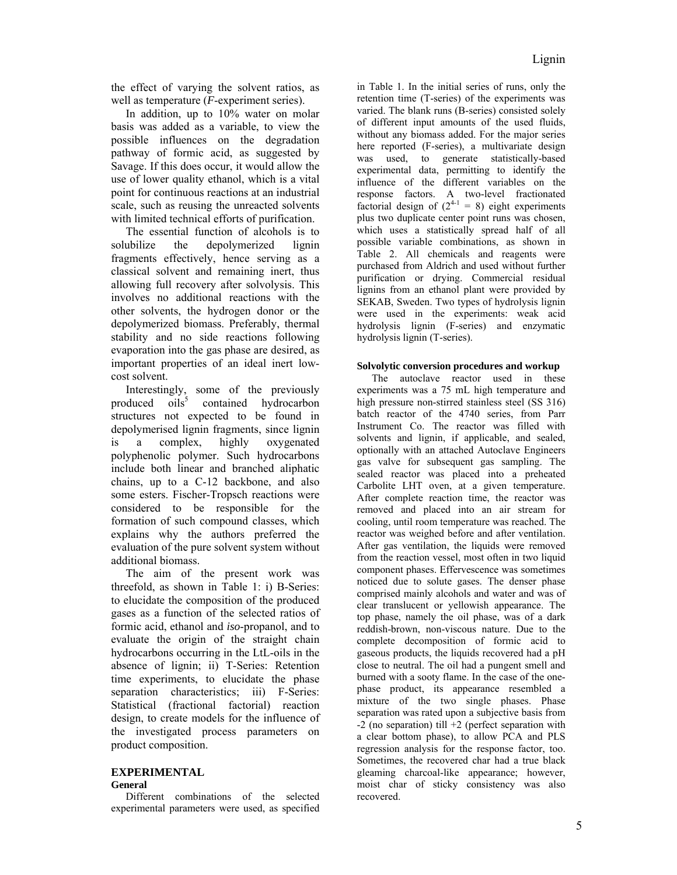the effect of varying the solvent ratios, as well as temperature (*F*-experiment series).

In addition, up to 10% water on molar basis was added as a variable, to view the possible influences on the degradation pathway of formic acid, as suggested by Savage. If this does occur, it would allow the use of lower quality ethanol, which is a vital point for continuous reactions at an industrial scale, such as reusing the unreacted solvents with limited technical efforts of purification.

The essential function of alcohols is to solubilize the depolymerized lignin fragments effectively, hence serving as a classical solvent and remaining inert, thus allowing full recovery after solvolysis. This involves no additional reactions with the other solvents, the hydrogen donor or the depolymerized biomass. Preferably, thermal stability and no side reactions following evaporation into the gas phase are desired, as important properties of an ideal inert lowcost solvent.

Interestingly, some of the previously produced  $oils^5$  contained hydrocarbon structures not expected to be found in depolymerised lignin fragments, since lignin is a complex, highly oxygenated polyphenolic polymer. Such hydrocarbons include both linear and branched aliphatic chains, up to a C-12 backbone, and also some esters. Fischer-Tropsch reactions were considered to be responsible for the formation of such compound classes, which explains why the authors preferred the evaluation of the pure solvent system without additional biomass.

The aim of the present work was threefold, as shown in Table 1: i) B-Series: to elucidate the composition of the produced gases as a function of the selected ratios of formic acid, ethanol and *iso*-propanol, and to evaluate the origin of the straight chain hydrocarbons occurring in the LtL-oils in the absence of lignin; ii) T-Series: Retention time experiments, to elucidate the phase separation characteristics: iii) F-Series: Statistical (fractional factorial) reaction design, to create models for the influence of the investigated process parameters on product composition.

#### **EXPERIMENTAL General**

Different combinations of the selected experimental parameters were used, as specified in Table 1. In the initial series of runs, only the retention time (T-series) of the experiments was varied. The blank runs (B-series) consisted solely of different input amounts of the used fluids, without any biomass added. For the major series here reported (F-series), a multivariate design was used, to generate statistically-based experimental data, permitting to identify the influence of the different variables on the response factors. A two-level fractionated factorial design of  $(2^{4-1} = 8)$  eight experiments plus two duplicate center point runs was chosen, which uses a statistically spread half of all possible variable combinations, as shown in Table 2. All chemicals and reagents were purchased from Aldrich and used without further purification or drying. Commercial residual lignins from an ethanol plant were provided by SEKAB, Sweden. Two types of hydrolysis lignin were used in the experiments: weak acid hydrolysis lignin (F-series) and enzymatic hydrolysis lignin (T-series).

## **Solvolytic conversion procedures and workup**

The autoclave reactor used in these experiments was a 75 mL high temperature and high pressure non-stirred stainless steel (SS 316) batch reactor of the 4740 series, from Parr Instrument Co. The reactor was filled with solvents and lignin, if applicable, and sealed, optionally with an attached Autoclave Engineers gas valve for subsequent gas sampling. The sealed reactor was placed into a preheated Carbolite LHT oven, at a given temperature. After complete reaction time, the reactor was removed and placed into an air stream for cooling, until room temperature was reached. The reactor was weighed before and after ventilation. After gas ventilation, the liquids were removed from the reaction vessel, most often in two liquid component phases. Effervescence was sometimes noticed due to solute gases. The denser phase comprised mainly alcohols and water and was of clear translucent or yellowish appearance. The top phase, namely the oil phase, was of a dark reddish-brown, non-viscous nature. Due to the complete decomposition of formic acid to gaseous products, the liquids recovered had a pH close to neutral. The oil had a pungent smell and burned with a sooty flame. In the case of the onephase product, its appearance resembled a mixture of the two single phases. Phase separation was rated upon a subjective basis from  $-2$  (no separation) till  $+2$  (perfect separation with a clear bottom phase), to allow PCA and PLS regression analysis for the response factor, too. Sometimes, the recovered char had a true black gleaming charcoal-like appearance; however, moist char of sticky consistency was also recovered.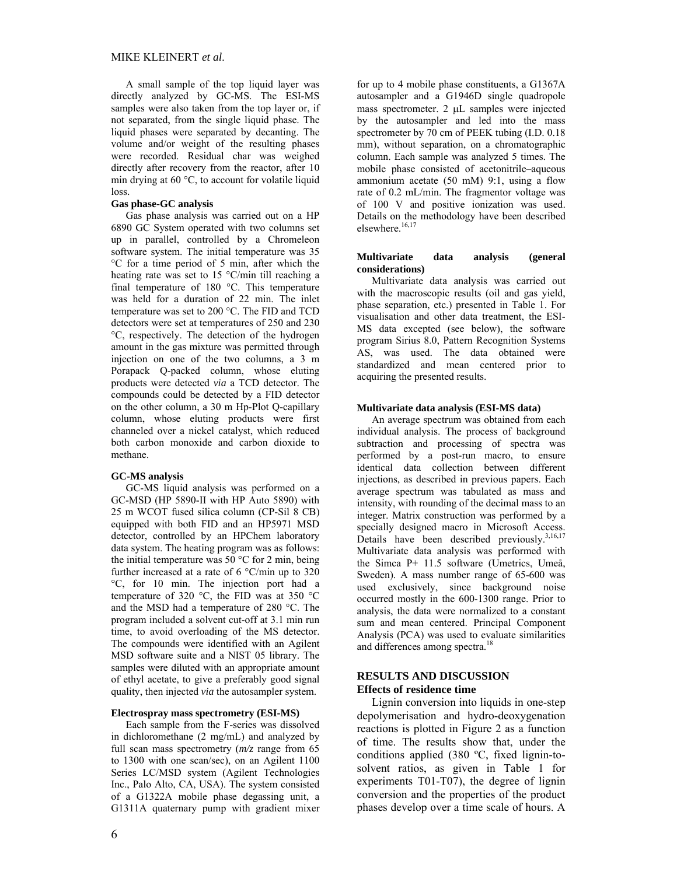A small sample of the top liquid layer was directly analyzed by GC-MS. The ESI-MS samples were also taken from the top layer or, if not separated, from the single liquid phase. The liquid phases were separated by decanting. The volume and/or weight of the resulting phases were recorded. Residual char was weighed directly after recovery from the reactor, after 10 min drying at 60 °C, to account for volatile liquid loss.

### **Gas phase-GC analysis**

Gas phase analysis was carried out on a HP 6890 GC System operated with two columns set up in parallel, controlled by a Chromeleon software system. The initial temperature was 35 °C for a time period of 5 min, after which the heating rate was set to 15 °C/min till reaching a final temperature of 180 °C. This temperature was held for a duration of 22 min. The inlet temperature was set to 200 °C. The FID and TCD detectors were set at temperatures of 250 and 230 °C, respectively. The detection of the hydrogen amount in the gas mixture was permitted through injection on one of the two columns, a 3 m Porapack Q-packed column, whose eluting products were detected *via* a TCD detector. The compounds could be detected by a FID detector on the other column, a 30 m Hp-Plot Q-capillary column, whose eluting products were first channeled over a nickel catalyst, which reduced both carbon monoxide and carbon dioxide to methane.

#### **GC-MS analysis**

GC-MS liquid analysis was performed on a GC-MSD (HP 5890-II with HP Auto 5890) with 25 m WCOT fused silica column (CP-Sil 8 CB) equipped with both FID and an HP5971 MSD detector, controlled by an HPChem laboratory data system. The heating program was as follows: the initial temperature was 50 °C for 2 min, being further increased at a rate of 6 °C/min up to 320 °C, for 10 min. The injection port had a temperature of 320 °C, the FID was at 350 °C and the MSD had a temperature of 280 °C. The program included a solvent cut-off at 3.1 min run time, to avoid overloading of the MS detector. The compounds were identified with an Agilent MSD software suite and a NIST 05 library. The samples were diluted with an appropriate amount of ethyl acetate, to give a preferably good signal quality, then injected *via* the autosampler system.

#### **Electrospray mass spectrometry (ESI-MS)**

Each sample from the F-series was dissolved in dichloromethane (2 mg/mL) and analyzed by full scan mass spectrometry (*m/z* range from 65 to 1300 with one scan/sec), on an Agilent 1100 Series LC/MSD system (Agilent Technologies Inc., Palo Alto, CA, USA). The system consisted of a G1322A mobile phase degassing unit, a G1311A quaternary pump with gradient mixer

for up to 4 mobile phase constituents, a G1367A autosampler and a G1946D single quadropole mass spectrometer.  $2 \mu L$  samples were injected by the autosampler and led into the mass spectrometer by 70 cm of PEEK tubing (I.D. 0.18 mm), without separation, on a chromatographic column. Each sample was analyzed 5 times. The mobile phase consisted of acetonitrile–aqueous ammonium acetate (50 mM) 9:1, using a flow rate of 0.2 mL/min. The fragmentor voltage was of 100 V and positive ionization was used. Details on the methodology have been described elsewhere.<sup>16,17</sup>

#### **Multivariate data analysis (general considerations)**

Multivariate data analysis was carried out with the macroscopic results (oil and gas yield, phase separation, etc.) presented in Table 1. For visualisation and other data treatment, the ESI-MS data excepted (see below), the software program Sirius 8.0, Pattern Recognition Systems AS, was used. The data obtained were standardized and mean centered prior to acquiring the presented results.

#### **Multivariate data analysis (ESI-MS data)**

An average spectrum was obtained from each individual analysis. The process of background subtraction and processing of spectra was performed by a post-run macro, to ensure identical data collection between different injections, as described in previous papers. Each average spectrum was tabulated as mass and intensity, with rounding of the decimal mass to an integer. Matrix construction was performed by a specially designed macro in Microsoft Access. Details have been described previously.<sup>3,16,17</sup> Multivariate data analysis was performed with the Simca P+ 11.5 software (Umetrics, Umeå, Sweden). A mass number range of 65-600 was used exclusively, since background noise occurred mostly in the 600-1300 range. Prior to analysis, the data were normalized to a constant sum and mean centered. Principal Component Analysis (PCA) was used to evaluate similarities and differences among spectra.<sup>18</sup>

# **RESULTS AND DISCUSSION Effects of residence time**

Lignin conversion into liquids in one-step depolymerisation and hydro-deoxygenation reactions is plotted in Figure 2 as a function of time. The results show that, under the conditions applied (380 ºC, fixed lignin-tosolvent ratios, as given in Table 1 for experiments T01-T07), the degree of lignin conversion and the properties of the product phases develop over a time scale of hours. A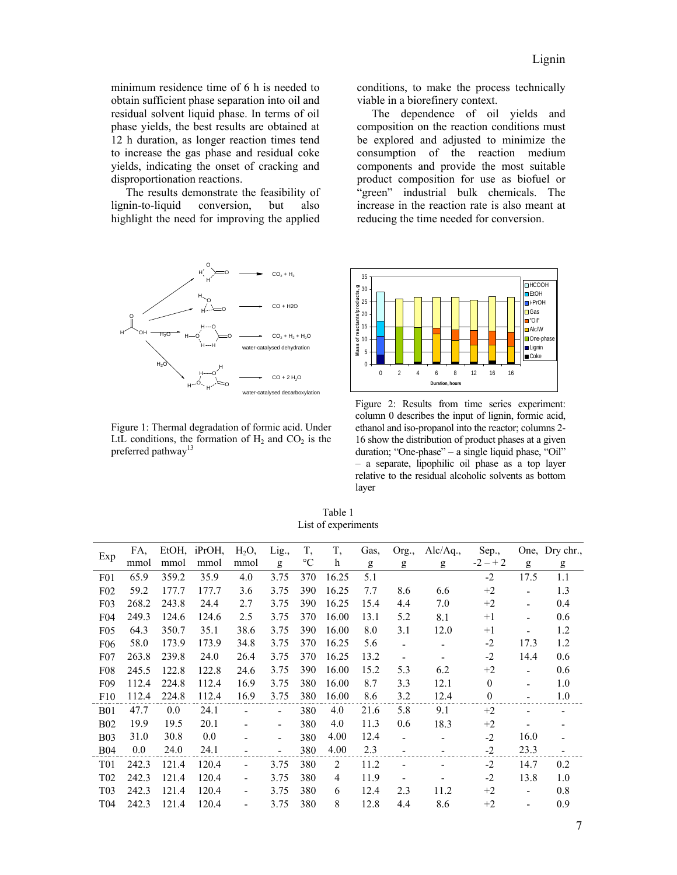minimum residence time of 6 h is needed to obtain sufficient phase separation into oil and residual solvent liquid phase. In terms of oil phase yields, the best results are obtained at 12 h duration, as longer reaction times tend to increase the gas phase and residual coke yields, indicating the onset of cracking and disproportionation reactions.

The results demonstrate the feasibility of lignin-to-liquid conversion, but also highlight the need for improving the applied



Figure 1: Thermal degradation of formic acid. Under LtL conditions, the formation of  $H_2$  and  $CO_2$  is the preferred pathway<sup>13</sup>

conditions, to make the process technically viable in a biorefinery context.

The dependence of oil yields and composition on the reaction conditions must be explored and adjusted to minimize the consumption of the reaction medium components and provide the most suitable product composition for use as biofuel or "green" industrial bulk chemicals. The increase in the reaction rate is also meant at reducing the time needed for conversion.



Figure 2: Results from time series experiment: column 0 describes the input of lignin, formic acid, ethanol and iso-propanol into the reactor; columns 2- 16 show the distribution of product phases at a given duration; "One-phase" – a single liquid phase, "Oil" – a separate, lipophilic oil phase as a top layer relative to the residual alcoholic solvents as bottom layer

Table 1 List of experiments

| Exp              | FA,   | EtOH, | iPrOH, | $H_2O$                       | Lig.,                    | T,              | T,    | Gas, | Org.,                        | Alc/Ag., | Sep.,            |                          | One, Dry chr.,           |
|------------------|-------|-------|--------|------------------------------|--------------------------|-----------------|-------|------|------------------------------|----------|------------------|--------------------------|--------------------------|
|                  | mmol  | mmol  | mmol   | mmol                         | g                        | $\rm ^{\circ}C$ | h     | g    | g                            | g        | $-2 - + 2$       | g                        | g                        |
| F <sub>0</sub> 1 | 65.9  | 359.2 | 35.9   | 4.0                          | 3.75                     | 370             | 16.25 | 5.1  |                              |          | $-2$             | 17.5                     | 1.1                      |
| $F_{02}$         | 59.2  | 177.7 | 177.7  | 3.6                          | 3.75                     | 390             | 16.25 | 7.7  | 8.6                          | 6.6      | $+2$             |                          | 1.3                      |
| F03              | 268.2 | 243.8 | 24.4   | 2.7                          | 3.75                     | 390             | 16.25 | 15.4 | 4.4                          | 7.0      | $+2$             |                          | 0.4                      |
| F <sub>04</sub>  | 249.3 | 124.6 | 124.6  | 2.5                          | 3.75                     | 370             | 16.00 | 13.1 | 5.2                          | 8.1      | $+1$             |                          | 0.6                      |
| F <sub>05</sub>  | 64.3  | 350.7 | 35.1   | 38.6                         | 3.75                     | 390             | 16.00 | 8.0  | 3.1                          | 12.0     | $+1$             |                          | 1.2                      |
| F <sub>06</sub>  | 58.0  | 173.9 | 173.9  | 34.8                         | 3.75                     | 370             | 16.25 | 5.6  |                              |          | -2               | 17.3                     | 1.2                      |
| $F_{07}$         | 263.8 | 239.8 | 24.0   | 26.4                         | 3.75                     | 370             | 16.25 | 13.2 |                              |          | $-2$             | 14.4                     | 0.6                      |
| F <sub>08</sub>  | 245.5 | 122.8 | 122.8  | 24.6                         | 3.75                     | 390             | 16.00 | 15.2 | 5.3                          | 6.2      | $+2$             | $\blacksquare$           | 0.6                      |
| F <sub>09</sub>  | 112.4 | 224.8 | 112.4  | 16.9                         | 3.75                     | 380             | 16.00 | 8.7  | 3.3                          | 12.1     | $\mathbf{0}$     |                          | 1.0                      |
| F10              | 112.4 | 224.8 | 112.4  | 16.9                         | 3.75                     | 380             | 16.00 | 8.6  | 3.2                          | 12.4     | $\boldsymbol{0}$ |                          | 1.0                      |
| <b>B01</b>       | 47.7  | 0.0   | 24.1   |                              | $\overline{\phantom{a}}$ | 380             | 4.0   | 21.6 | 5.8                          | 9.1      | $+2$             |                          |                          |
| <b>B02</b>       | 19.9  | 19.5  | 20.1   |                              | $\overline{\phantom{a}}$ | 380             | 4.0   | 11.3 | 0.6                          | 18.3     | $+2$             |                          |                          |
| <b>B03</b>       | 31.0  | 30.8  | 0.0    |                              | $\overline{\phantom{a}}$ | 380             | 4.00  | 12.4 | ۰                            |          | $-2$             | 16.0                     |                          |
| <b>B04</b>       | 0.0   | 24.0  | 24.1   |                              | $\overline{\phantom{a}}$ | 380             | 4.00  | 2.3  | ٠                            |          | $-2$             | 23.3                     | $\overline{\phantom{a}}$ |
| T <sub>0</sub> 1 | 242.3 | 121.4 | 120.4  | ÷,                           | 3.75                     | 380             | 2     | 11.2 | $\qquad \qquad \blacksquare$ |          | $-2$             | 14.7                     | 0.2                      |
| T <sub>02</sub>  | 242.3 | 121.4 | 120.4  | $\qquad \qquad \blacksquare$ | 3.75                     | 380             | 4     | 11.9 |                              |          | $-2$             | 13.8                     | 1.0                      |
| T <sub>0</sub> 3 | 242.3 | 121.4 | 120.4  | ÷,                           | 3.75                     | 380             | 6     | 12.4 | 2.3                          | 11.2     | $+2$             | $\overline{\phantom{a}}$ | 0.8                      |
| T04              | 242.3 | 121.4 | 120.4  | $\qquad \qquad \blacksquare$ | 3.75                     | 380             | 8     | 12.8 | 4.4                          | 8.6      | $+2$             | $\overline{\phantom{a}}$ | 0.9                      |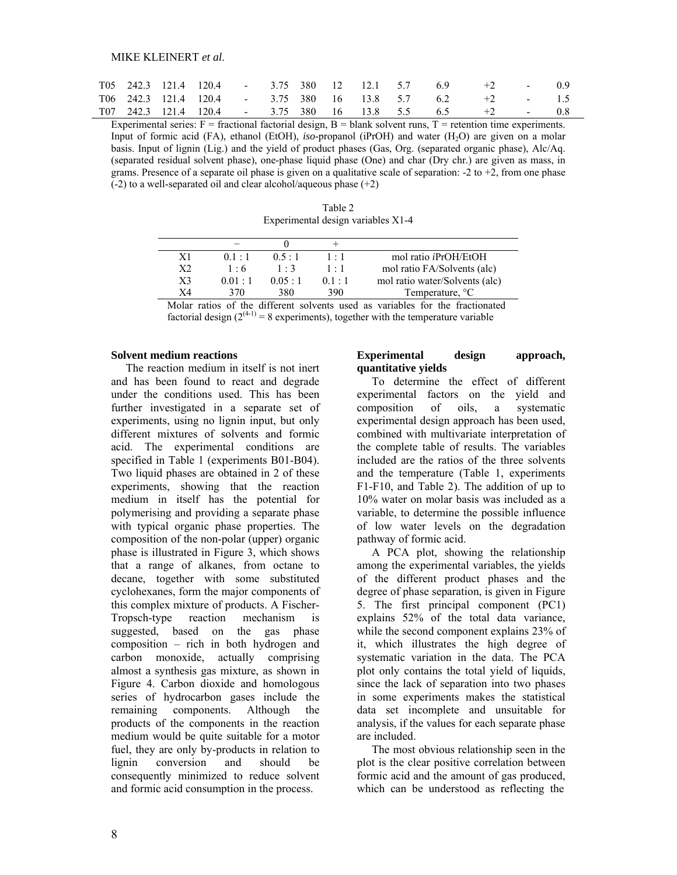|  |  |  |  |  | T05 242.3 121.4 120.4 - 3.75 380 12 12.1 5.7 6.9 +2 - 0.9   |  |
|--|--|--|--|--|-------------------------------------------------------------|--|
|  |  |  |  |  | $T06$ 242.3 121.4 120.4 - 3.75 380 16 13.8 5.7 6.2 +2 - 1.5 |  |
|  |  |  |  |  | $T07$ 242.3 121.4 120.4 - 3.75 380 16 13.8 5.5 6.5 +2 - 0.8 |  |

Experimental series:  $F =$  fractional factorial design,  $B =$  blank solvent runs,  $T =$  retention time experiments. Input of formic acid (FA), ethanol (EtOH), *iso-*propanol (iPrOH) and water (H<sub>2</sub>O) are given on a molar basis. Input of lignin (Lig.) and the yield of product phases (Gas, Org. (separated organic phase), Alc/Aq. (separated residual solvent phase), one-phase liquid phase (One) and char (Dry chr.) are given as mass, in grams. Presence of a separate oil phase is given on a qualitative scale of separation:  $-2$  to  $+2$ , from one phase (-2) to a well-separated oil and clear alcohol/aqueous phase (+2)

| Table 2                            |
|------------------------------------|
| Experimental design variables X1-4 |

| X1             | $01 \cdot 1$   | $0.5 \cdot 1$  | $1 \cdot 1$ | mol ratio <i>iPrOH</i> /EtOH   |
|----------------|----------------|----------------|-------------|--------------------------------|
| X2             | 1.6            | $1 \cdot 3$    | $1 \cdot 1$ | mol ratio FA/Solvents (alc)    |
| X <sub>3</sub> | $0.01 \cdot 1$ | $0.05 \cdot 1$ | 0.1 : 1     | mol ratio water/Solvents (alc) |
| X4             | 370            | 380            | 390         | Temperature, <sup>o</sup> C    |
|                | _____          | .              |             | .<br>____                      |

Molar ratios of the different solvents used as variables for the fractionated factorial design  $(2^{(4-1)}) = 8$  experiments), together with the temperature variable

#### **Solvent medium reactions**

The reaction medium in itself is not inert and has been found to react and degrade under the conditions used. This has been further investigated in a separate set of experiments, using no lignin input, but only different mixtures of solvents and formic acid. The experimental conditions are specified in Table 1 (experiments B01-B04). Two liquid phases are obtained in 2 of these experiments, showing that the reaction medium in itself has the potential for polymerising and providing a separate phase with typical organic phase properties. The composition of the non-polar (upper) organic phase is illustrated in Figure 3, which shows that a range of alkanes, from octane to decane, together with some substituted cyclohexanes, form the major components of this complex mixture of products. A Fischer-Tropsch-type reaction mechanism is suggested, based on the gas phase composition – rich in both hydrogen and carbon monoxide, actually comprising almost a synthesis gas mixture, as shown in Figure 4. Carbon dioxide and homologous series of hydrocarbon gases include the remaining components. Although the products of the components in the reaction medium would be quite suitable for a motor fuel, they are only by-products in relation to lignin conversion and should be consequently minimized to reduce solvent and formic acid consumption in the process.

# **Experimental design approach, quantitative yields**

To determine the effect of different experimental factors on the yield and composition of oils, a systematic experimental design approach has been used, combined with multivariate interpretation of the complete table of results. The variables included are the ratios of the three solvents and the temperature (Table 1, experiments F1-F10, and Table 2). The addition of up to 10% water on molar basis was included as a variable, to determine the possible influence of low water levels on the degradation pathway of formic acid.

A PCA plot, showing the relationship among the experimental variables, the yields of the different product phases and the degree of phase separation, is given in Figure 5. The first principal component (PC1) explains 52% of the total data variance, while the second component explains 23% of it, which illustrates the high degree of systematic variation in the data. The PCA plot only contains the total yield of liquids, since the lack of separation into two phases in some experiments makes the statistical data set incomplete and unsuitable for analysis, if the values for each separate phase are included.

The most obvious relationship seen in the plot is the clear positive correlation between formic acid and the amount of gas produced, which can be understood as reflecting the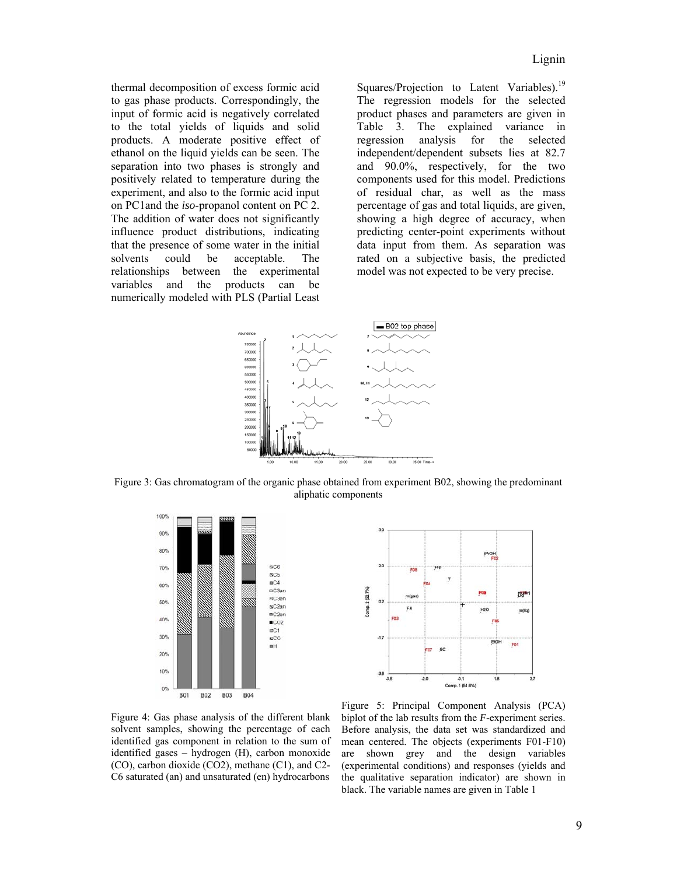thermal decomposition of excess formic acid to gas phase products. Correspondingly, the input of formic acid is negatively correlated to the total yields of liquids and solid products. A moderate positive effect of ethanol on the liquid yields can be seen. The separation into two phases is strongly and positively related to temperature during the experiment, and also to the formic acid input on PC1and the *iso*-propanol content on PC 2. The addition of water does not significantly influence product distributions, indicating that the presence of some water in the initial solvents could be acceptable. The relationships between the experimental variables and the products can be numerically modeled with PLS (Partial Least

Squares/Projection to Latent Variables).<sup>19</sup> The regression models for the selected product phases and parameters are given in Table 3. The explained variance in regression analysis for the selected independent/dependent subsets lies at 82.7 and 90.0%, respectively, for the two components used for this model. Predictions of residual char, as well as the mass percentage of gas and total liquids, are given, showing a high degree of accuracy, when predicting center-point experiments without data input from them. As separation was rated on a subjective basis, the predicted model was not expected to be very precise.



Figure 3: Gas chromatogram of the organic phase obtained from experiment B02, showing the predominant aliphatic components





Figure 4: Gas phase analysis of the different blank solvent samples, showing the percentage of each identified gas component in relation to the sum of identified gases – hydrogen (H), carbon monoxide (CO), carbon dioxide (CO2), methane (C1), and C2- C6 saturated (an) and unsaturated (en) hydrocarbons

Figure 5: Principal Component Analysis (PCA) biplot of the lab results from the *F*-experiment series. Before analysis, the data set was standardized and mean centered. The objects (experiments F01-F10) are shown grey and the design variables (experimental conditions) and responses (yields and the qualitative separation indicator) are shown in black. The variable names are given in Table 1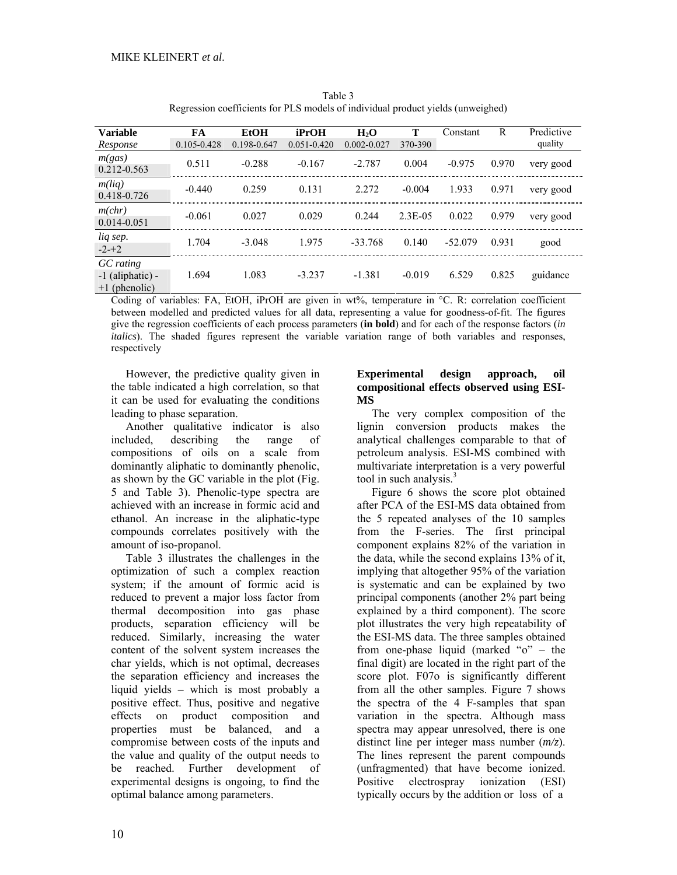| <b>Variable</b><br>Response                          | FA<br>0.105-0.428 | <b>EtOH</b><br>0.198-0.647 | iPrOH<br>$0.051 - 0.420$ | H <sub>2</sub> O<br>$0.002 - 0.027$ | Т<br>370-390 | Constant  | R                      | Predictive<br>quality |
|------------------------------------------------------|-------------------|----------------------------|--------------------------|-------------------------------------|--------------|-----------|------------------------|-----------------------|
| m(gas)<br>$0.212 - 0.563$                            | 0.511             | $-0.288$                   | $-0.167$                 | $-2.787$                            | 0.004        | $-0.975$  | 0.970                  | very good             |
| m(iq)<br>0.418-0.726                                 | $-0.440$          | 0.259                      | 0.131                    | 2.272                               | $-0.004$     | 1.933     | 0.971                  | very good             |
| m(chr)<br>$0.014 - 0.051$                            | $-0.061$          | 0.027                      | 0.029                    | 0.244                               | $2.3E-0.5$   | 0.022     | 0.979                  | very good             |
| lig sep.<br>$-2-+2$                                  | 1.704             | $-3.048$                   | 1.975                    | $-33.768$                           | 0.140        | $-52.079$ | 0.931                  | good                  |
| GC rating<br>$-1$ (aliphatic) $-$<br>$+1$ (phenolic) | 1.694<br>.        | 1.083                      | $-3.237$                 | $-1.381$                            | $-0.019$     | 6.529     | 0.825<br>$\sim$ $\sim$ | guidance              |

Table 3 Regression coefficients for PLS models of individual product yields (unweighed)

Coding of variables: FA, EtOH, iPrOH are given in wt%, temperature in °C. R: correlation coefficient between modelled and predicted values for all data, representing a value for goodness-of-fit. The figures give the regression coefficients of each process parameters (**in bold**) and for each of the response factors (*in italics*). The shaded figures represent the variable variation range of both variables and responses, respectively

However, the predictive quality given in the table indicated a high correlation, so that it can be used for evaluating the conditions leading to phase separation.

Another qualitative indicator is also included, describing the range of compositions of oils on a scale from dominantly aliphatic to dominantly phenolic, as shown by the GC variable in the plot (Fig. 5 and Table 3). Phenolic-type spectra are achieved with an increase in formic acid and ethanol. An increase in the aliphatic-type compounds correlates positively with the amount of iso-propanol.

Table 3 illustrates the challenges in the optimization of such a complex reaction system; if the amount of formic acid is reduced to prevent a major loss factor from thermal decomposition into gas phase products, separation efficiency will be reduced. Similarly, increasing the water content of the solvent system increases the char yields, which is not optimal, decreases the separation efficiency and increases the liquid yields – which is most probably a positive effect. Thus, positive and negative effects on product composition and properties must be balanced, and a compromise between costs of the inputs and the value and quality of the output needs to be reached. Further development of experimental designs is ongoing, to find the optimal balance among parameters.

# **Experimental design approach, oil compositional effects observed using ESI-MS**

The very complex composition of the lignin conversion products makes the analytical challenges comparable to that of petroleum analysis. ESI-MS combined with multivariate interpretation is a very powerful tool in such analysis. $3$ 

Figure 6 shows the score plot obtained after PCA of the ESI-MS data obtained from the 5 repeated analyses of the 10 samples from the F-series. The first principal component explains 82% of the variation in the data, while the second explains 13% of it, implying that altogether 95% of the variation is systematic and can be explained by two principal components (another 2% part being explained by a third component). The score plot illustrates the very high repeatability of the ESI-MS data. The three samples obtained from one-phase liquid (marked "o" – the final digit) are located in the right part of the score plot. F07o is significantly different from all the other samples. Figure 7 shows the spectra of the 4 F-samples that span variation in the spectra. Although mass spectra may appear unresolved, there is one distinct line per integer mass number (*m/z*). The lines represent the parent compounds (unfragmented) that have become ionized. Positive electrospray ionization (ESI) typically occurs by the addition or loss of a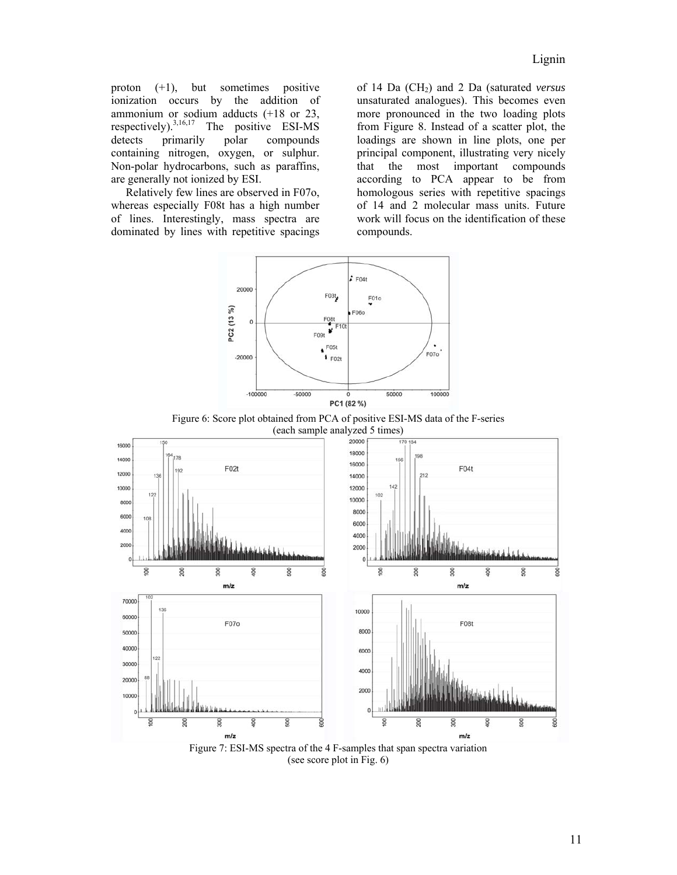proton (+1), but sometimes positive ionization occurs by the addition of ammonium or sodium adducts (+18 or 23, respectively).<sup>3,16,17</sup> The positive ESI-MS<br>detects primarily polar compounds primarily polar compounds containing nitrogen, oxygen, or sulphur. Non-polar hydrocarbons, such as paraffins, are generally not ionized by ESI.

Relatively few lines are observed in F07o, whereas especially F08t has a high number of lines. Interestingly, mass spectra are dominated by lines with repetitive spacings of 14 Da (CH<sub>2</sub>) and 2 Da (saturated *versus* unsaturated analogues). This becomes even more pronounced in the two loading plots from Figure 8. Instead of a scatter plot, the loadings are shown in line plots, one per principal component, illustrating very nicely that the most important compounds according to PCA appear to be from homologous series with repetitive spacings of 14 and 2 molecular mass units. Future work will focus on the identification of these compounds.



Figure 6: Score plot obtained from PCA of positive ESI-MS data of the F-series (each sample analyzed 5 times)



Figure 7: ESI-MS spectra of the 4 F-samples that span spectra variation (see score plot in Fig. 6)